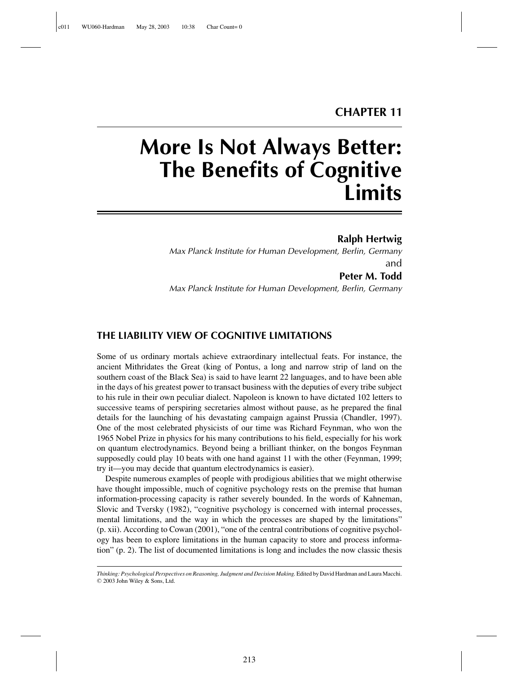**CHAPTER 11**

# **More Is Not Always Better: The Benefits of Cognitive Limits**

# **Ralph Hertwig**

Max Planck Institute for Human Development, Berlin, Germany and

**Peter M. Todd** Max Planck Institute for Human Development, Berlin, Germany

# **THE LIABILITY VIEW OF COGNITIVE LIMITATIONS**

Some of us ordinary mortals achieve extraordinary intellectual feats. For instance, the ancient Mithridates the Great (king of Pontus, a long and narrow strip of land on the southern coast of the Black Sea) is said to have learnt 22 languages, and to have been able in the days of his greatest power to transact business with the deputies of every tribe subject to his rule in their own peculiar dialect. Napoleon is known to have dictated 102 letters to successive teams of perspiring secretaries almost without pause, as he prepared the final details for the launching of his devastating campaign against Prussia (Chandler, 1997). One of the most celebrated physicists of our time was Richard Feynman, who won the 1965 Nobel Prize in physics for his many contributions to his field, especially for his work on quantum electrodynamics. Beyond being a brilliant thinker, on the bongos Feynman supposedly could play 10 beats with one hand against 11 with the other (Feynman, 1999; try it—you may decide that quantum electrodynamics is easier).

Despite numerous examples of people with prodigious abilities that we might otherwise have thought impossible, much of cognitive psychology rests on the premise that human information-processing capacity is rather severely bounded. In the words of Kahneman, Slovic and Tversky (1982), "cognitive psychology is concerned with internal processes, mental limitations, and the way in which the processes are shaped by the limitations" (p. xii). According to Cowan (2001), "one of the central contributions of cognitive psychology has been to explore limitations in the human capacity to store and process information" (p. 2). The list of documented limitations is long and includes the now classic thesis

*Thinking: Psychological Perspectives on Reasoning, Judgment and Decision Making.* Edited by David Hardman and Laura Macchi.  $©$  2003 John Wiley & Sons, Ltd.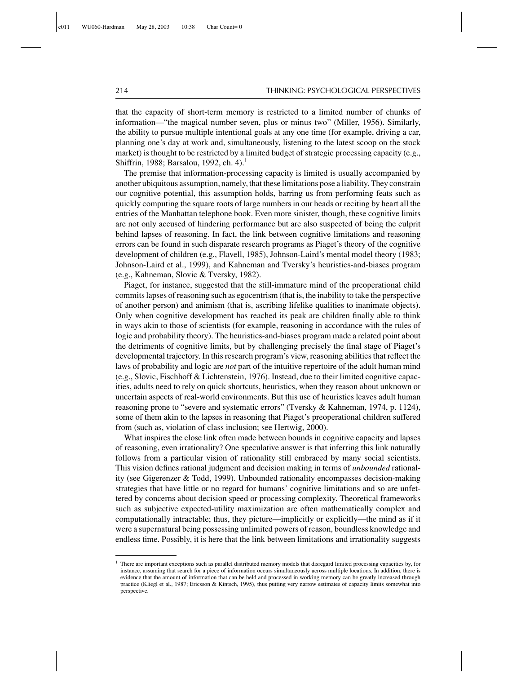that the capacity of short-term memory is restricted to a limited number of chunks of information—"the magical number seven, plus or minus two" (Miller, 1956). Similarly, the ability to pursue multiple intentional goals at any one time (for example, driving a car, planning one's day at work and, simultaneously, listening to the latest scoop on the stock market) is thought to be restricted by a limited budget of strategic processing capacity (e.g., Shiffrin, 1988; Barsalou, 1992, ch. 4).1

The premise that information-processing capacity is limited is usually accompanied by another ubiquitous assumption, namely, that these limitations pose a liability. They constrain our cognitive potential, this assumption holds, barring us from performing feats such as quickly computing the square roots of large numbers in our heads or reciting by heart all the entries of the Manhattan telephone book. Even more sinister, though, these cognitive limits are not only accused of hindering performance but are also suspected of being the culprit behind lapses of reasoning. In fact, the link between cognitive limitations and reasoning errors can be found in such disparate research programs as Piaget's theory of the cognitive development of children (e.g., Flavell, 1985), Johnson-Laird's mental model theory (1983; Johnson-Laird et al., 1999), and Kahneman and Tversky's heuristics-and-biases program (e.g., Kahneman, Slovic & Tversky, 1982).

Piaget, for instance, suggested that the still-immature mind of the preoperational child commits lapses of reasoning such as egocentrism (that is, the inability to take the perspective of another person) and animism (that is, ascribing lifelike qualities to inanimate objects). Only when cognitive development has reached its peak are children finally able to think in ways akin to those of scientists (for example, reasoning in accordance with the rules of logic and probability theory). The heuristics-and-biases program made a related point about the detriments of cognitive limits, but by challenging precisely the final stage of Piaget's developmental trajectory. In this research program's view, reasoning abilities that reflect the laws of probability and logic are *not* part of the intuitive repertoire of the adult human mind (e.g., Slovic, Fischhoff & Lichtenstein, 1976). Instead, due to their limited cognitive capacities, adults need to rely on quick shortcuts, heuristics, when they reason about unknown or uncertain aspects of real-world environments. But this use of heuristics leaves adult human reasoning prone to "severe and systematic errors" (Tversky & Kahneman, 1974, p. 1124), some of them akin to the lapses in reasoning that Piaget's preoperational children suffered from (such as, violation of class inclusion; see Hertwig, 2000).

What inspires the close link often made between bounds in cognitive capacity and lapses of reasoning, even irrationality? One speculative answer is that inferring this link naturally follows from a particular vision of rationality still embraced by many social scientists. This vision defines rational judgment and decision making in terms of *unbounded* rationality (see Gigerenzer & Todd, 1999). Unbounded rationality encompasses decision-making strategies that have little or no regard for humans' cognitive limitations and so are unfettered by concerns about decision speed or processing complexity. Theoretical frameworks such as subjective expected-utility maximization are often mathematically complex and computationally intractable; thus, they picture—implicitly or explicitly—the mind as if it were a supernatural being possessing unlimited powers of reason, boundless knowledge and endless time. Possibly, it is here that the link between limitations and irrationality suggests

c011 WU060-Hardman May 28, 2003 10:38 Char Count= 0

<sup>&</sup>lt;sup>1</sup> There are important exceptions such as parallel distributed memory models that disregard limited processing capacities by, for instance, assuming that search for a piece of information occurs simultaneously across multiple locations. In addition, there is evidence that the amount of information that can be held and processed in working memory can be greatly increased through practice (Kliegl et al., 1987; Ericsson & Kintsch, 1995), thus putting very narrow estimates of capacity limits somewhat into perspective.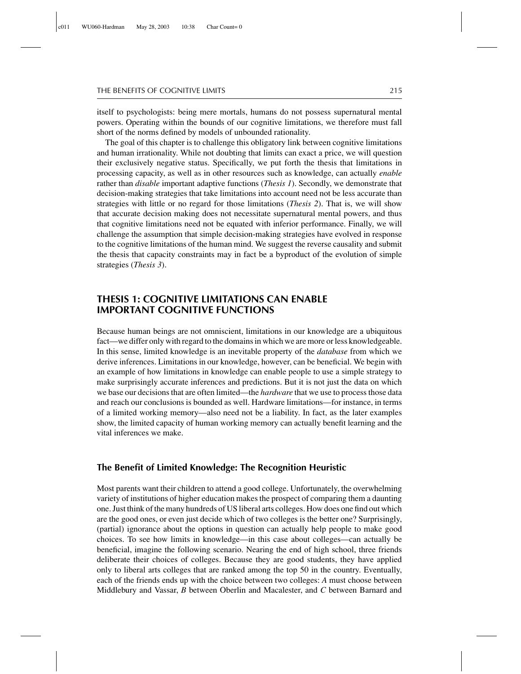c011 WU060-Hardman May 28, 2003 10:38 Char Count= 0

itself to psychologists: being mere mortals, humans do not possess supernatural mental powers. Operating within the bounds of our cognitive limitations, we therefore must fall short of the norms defined by models of unbounded rationality.

The goal of this chapter is to challenge this obligatory link between cognitive limitations and human irrationality. While not doubting that limits can exact a price, we will question their exclusively negative status. Specifically, we put forth the thesis that limitations in processing capacity, as well as in other resources such as knowledge, can actually *enable* rather than *disable* important adaptive functions (*Thesis 1*). Secondly, we demonstrate that decision-making strategies that take limitations into account need not be less accurate than strategies with little or no regard for those limitations (*Thesis 2*). That is, we will show that accurate decision making does not necessitate supernatural mental powers, and thus that cognitive limitations need not be equated with inferior performance. Finally, we will challenge the assumption that simple decision-making strategies have evolved in response to the cognitive limitations of the human mind. We suggest the reverse causality and submit the thesis that capacity constraints may in fact be a byproduct of the evolution of simple strategies (*Thesis 3*).

# **THESIS 1: COGNITIVE LIMITATIONS CAN ENABLE IMPORTANT COGNITIVE FUNCTIONS**

Because human beings are not omniscient, limitations in our knowledge are a ubiquitous fact—we differ only with regard to the domains in which we are more or less knowledgeable. In this sense, limited knowledge is an inevitable property of the *database* from which we derive inferences. Limitations in our knowledge, however, can be beneficial. We begin with an example of how limitations in knowledge can enable people to use a simple strategy to make surprisingly accurate inferences and predictions. But it is not just the data on which we base our decisions that are often limited—the *hardware* that we use to process those data and reach our conclusions is bounded as well. Hardware limitations—for instance, in terms of a limited working memory—also need not be a liability. In fact, as the later examples show, the limited capacity of human working memory can actually benefit learning and the vital inferences we make.

# **The Benefit of Limited Knowledge: The Recognition Heuristic**

Most parents want their children to attend a good college. Unfortunately, the overwhelming variety of institutions of higher education makes the prospect of comparing them a daunting one. Just think of the many hundreds of US liberal arts colleges. How does one find out which are the good ones, or even just decide which of two colleges is the better one? Surprisingly, (partial) ignorance about the options in question can actually help people to make good choices. To see how limits in knowledge—in this case about colleges—can actually be beneficial, imagine the following scenario. Nearing the end of high school, three friends deliberate their choices of colleges. Because they are good students, they have applied only to liberal arts colleges that are ranked among the top 50 in the country. Eventually, each of the friends ends up with the choice between two colleges: *A* must choose between Middlebury and Vassar, *B* between Oberlin and Macalester, and *C* between Barnard and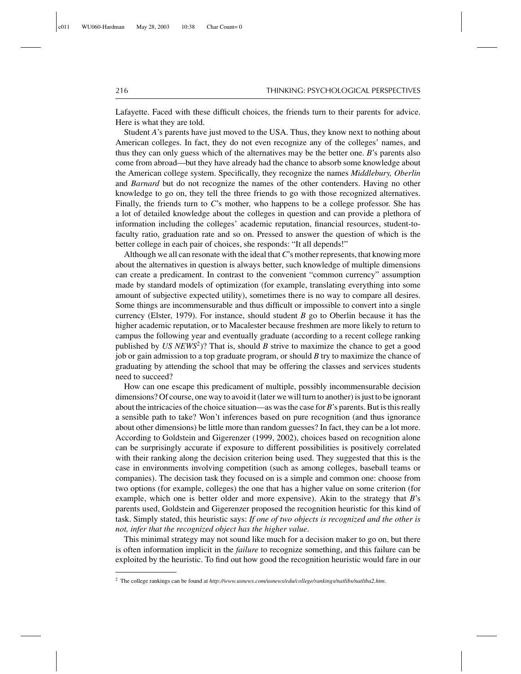Lafayette. Faced with these difficult choices, the friends turn to their parents for advice. Here is what they are told.

Student *A*'s parents have just moved to the USA. Thus, they know next to nothing about American colleges. In fact, they do not even recognize any of the colleges' names, and thus they can only guess which of the alternatives may be the better one. *B*'s parents also come from abroad—but they have already had the chance to absorb some knowledge about the American college system. Specifically, they recognize the names *Middlebury, Oberlin* and *Barnard* but do not recognize the names of the other contenders. Having no other knowledge to go on, they tell the three friends to go with those recognized alternatives. Finally, the friends turn to *C*'s mother, who happens to be a college professor. She has a lot of detailed knowledge about the colleges in question and can provide a plethora of information including the colleges' academic reputation, financial resources, student-tofaculty ratio, graduation rate and so on. Pressed to answer the question of which is the better college in each pair of choices, she responds: "It all depends!"

Although we all can resonate with the ideal that *C*'s mother represents, that knowing more about the alternatives in question is always better, such knowledge of multiple dimensions can create a predicament. In contrast to the convenient "common currency" assumption made by standard models of optimization (for example, translating everything into some amount of subjective expected utility), sometimes there is no way to compare all desires. Some things are incommensurable and thus difficult or impossible to convert into a single currency (Elster, 1979). For instance, should student *B* go to Oberlin because it has the higher academic reputation, or to Macalester because freshmen are more likely to return to campus the following year and eventually graduate (according to a recent college ranking published by *US NEWS*<sup>2</sup>)? That is, should *B* strive to maximize the chance to get a good job or gain admission to a top graduate program, or should *B* try to maximize the chance of graduating by attending the school that may be offering the classes and services students need to succeed?

How can one escape this predicament of multiple, possibly incommensurable decision dimensions? Of course, one way to avoid it (later we will turn to another) is just to be ignorant about the intricacies of the choice situation—as was the case for *B*'s parents. But is this really a sensible path to take? Won't inferences based on pure recognition (and thus ignorance about other dimensions) be little more than random guesses? In fact, they can be a lot more. According to Goldstein and Gigerenzer (1999, 2002), choices based on recognition alone can be surprisingly accurate if exposure to different possibilities is positively correlated with their ranking along the decision criterion being used. They suggested that this is the case in environments involving competition (such as among colleges, baseball teams or companies). The decision task they focused on is a simple and common one: choose from two options (for example, colleges) the one that has a higher value on some criterion (for example, which one is better older and more expensive). Akin to the strategy that *B*'s parents used, Goldstein and Gigerenzer proposed the recognition heuristic for this kind of task. Simply stated, this heuristic says: *If one of two objects is recognized and the other is not, infer that the recognized object has the higher value*.

This minimal strategy may not sound like much for a decision maker to go on, but there is often information implicit in the *failure* to recognize something, and this failure can be exploited by the heuristic. To find out how good the recognition heuristic would fare in our

<sup>2</sup> The college rankings can be found at *http://www.usnews.com/usnews/edu/college/rankings/natlibs/natliba2.htm*.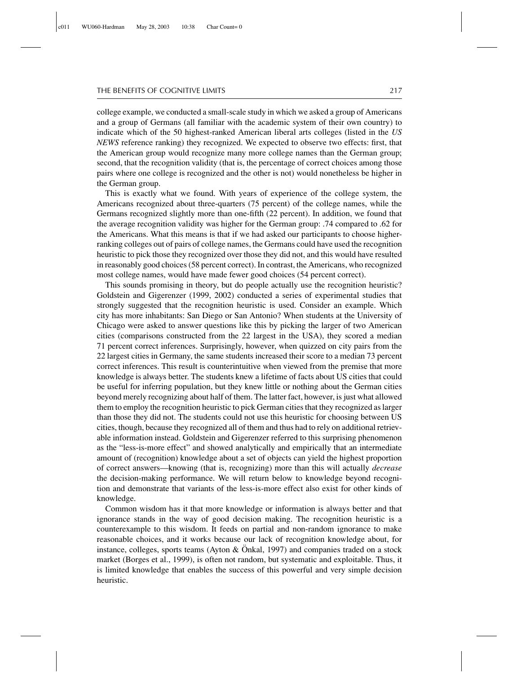college example, we conducted a small-scale study in which we asked a group of Americans and a group of Germans (all familiar with the academic system of their own country) to indicate which of the 50 highest-ranked American liberal arts colleges (listed in the *US NEWS* reference ranking) they recognized. We expected to observe two effects: first, that the American group would recognize many more college names than the German group; second, that the recognition validity (that is, the percentage of correct choices among those pairs where one college is recognized and the other is not) would nonetheless be higher in the German group.

This is exactly what we found. With years of experience of the college system, the Americans recognized about three-quarters (75 percent) of the college names, while the Germans recognized slightly more than one-fifth (22 percent). In addition, we found that the average recognition validity was higher for the German group: .74 compared to .62 for the Americans. What this means is that if we had asked our participants to choose higherranking colleges out of pairs of college names, the Germans could have used the recognition heuristic to pick those they recognized over those they did not, and this would have resulted in reasonably good choices (58 percent correct). In contrast, the Americans, who recognized most college names, would have made fewer good choices (54 percent correct).

This sounds promising in theory, but do people actually use the recognition heuristic? Goldstein and Gigerenzer (1999, 2002) conducted a series of experimental studies that strongly suggested that the recognition heuristic is used. Consider an example. Which city has more inhabitants: San Diego or San Antonio? When students at the University of Chicago were asked to answer questions like this by picking the larger of two American cities (comparisons constructed from the 22 largest in the USA), they scored a median 71 percent correct inferences. Surprisingly, however, when quizzed on city pairs from the 22 largest cities in Germany, the same students increased their score to a median 73 percent correct inferences. This result is counterintuitive when viewed from the premise that more knowledge is always better. The students knew a lifetime of facts about US cities that could be useful for inferring population, but they knew little or nothing about the German cities beyond merely recognizing about half of them. The latter fact, however, is just what allowed them to employ the recognition heuristic to pick German cities that they recognized as larger than those they did not. The students could not use this heuristic for choosing between US cities, though, because they recognized all of them and thus had to rely on additional retrievable information instead. Goldstein and Gigerenzer referred to this surprising phenomenon as the "less-is-more effect" and showed analytically and empirically that an intermediate amount of (recognition) knowledge about a set of objects can yield the highest proportion of correct answers—knowing (that is, recognizing) more than this will actually *decrease* the decision-making performance. We will return below to knowledge beyond recognition and demonstrate that variants of the less-is-more effect also exist for other kinds of knowledge.

Common wisdom has it that more knowledge or information is always better and that ignorance stands in the way of good decision making. The recognition heuristic is a counterexample to this wisdom. It feeds on partial and non-random ignorance to make reasonable choices, and it works because our lack of recognition knowledge about, for instance, colleges, sports teams (Ayton & Onkal, 1997) and companies traded on a stock market (Borges et al., 1999), is often not random, but systematic and exploitable. Thus, it is limited knowledge that enables the success of this powerful and very simple decision heuristic.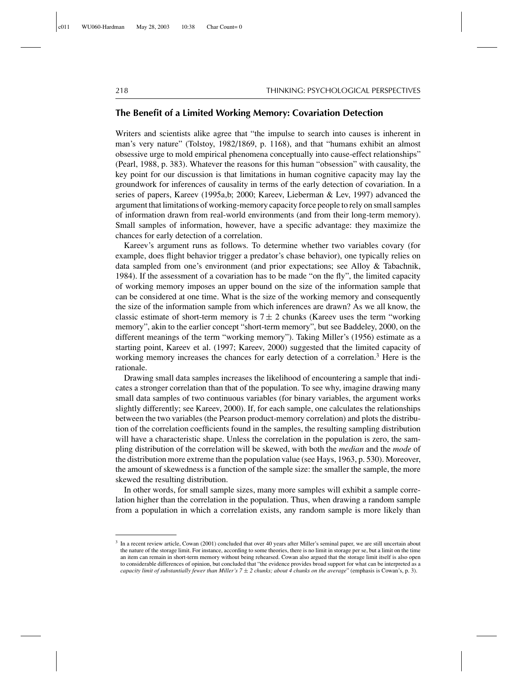### **The Benefit of a Limited Working Memory: Covariation Detection**

Writers and scientists alike agree that "the impulse to search into causes is inherent in man's very nature" (Tolstoy, 1982/1869, p. 1168), and that "humans exhibit an almost obsessive urge to mold empirical phenomena conceptually into cause-effect relationships" (Pearl, 1988, p. 383). Whatever the reasons for this human "obsession" with causality, the key point for our discussion is that limitations in human cognitive capacity may lay the groundwork for inferences of causality in terms of the early detection of covariation. In a series of papers, Kareev (1995a,b; 2000; Kareev, Lieberman & Lev, 1997) advanced the argument that limitations of working-memory capacity force people to rely on small samples of information drawn from real-world environments (and from their long-term memory). Small samples of information, however, have a specific advantage: they maximize the chances for early detection of a correlation.

Kareev's argument runs as follows. To determine whether two variables covary (for example, does flight behavior trigger a predator's chase behavior), one typically relies on data sampled from one's environment (and prior expectations; see Alloy & Tabachnik, 1984). If the assessment of a covariation has to be made "on the fly", the limited capacity of working memory imposes an upper bound on the size of the information sample that can be considered at one time. What is the size of the working memory and consequently the size of the information sample from which inferences are drawn? As we all know, the classic estimate of short-term memory is  $7 \pm 2$  chunks (Kareev uses the term "working memory", akin to the earlier concept "short-term memory", but see Baddeley, 2000, on the different meanings of the term "working memory"). Taking Miller's (1956) estimate as a starting point, Kareev et al. (1997; Kareev, 2000) suggested that the limited capacity of working memory increases the chances for early detection of a correlation.<sup>3</sup> Here is the rationale.

Drawing small data samples increases the likelihood of encountering a sample that indicates a stronger correlation than that of the population. To see why, imagine drawing many small data samples of two continuous variables (for binary variables, the argument works slightly differently; see Kareev, 2000). If, for each sample, one calculates the relationships between the two variables (the Pearson product-memory correlation) and plots the distribution of the correlation coefficients found in the samples, the resulting sampling distribution will have a characteristic shape. Unless the correlation in the population is zero, the sampling distribution of the correlation will be skewed, with both the *median* and the *mode* of the distribution more extreme than the population value (see Hays, 1963, p. 530). Moreover, the amount of skewedness is a function of the sample size: the smaller the sample, the more skewed the resulting distribution.

In other words, for small sample sizes, many more samples will exhibit a sample correlation higher than the correlation in the population. Thus, when drawing a random sample from a population in which a correlation exists, any random sample is more likely than

<sup>3</sup> In a recent review article, Cowan (2001) concluded that over 40 years after Miller's seminal paper, we are still uncertain about the nature of the storage limit. For instance, according to some theories, there is no limit in storage per se, but a limit on the time an item can remain in short-term memory without being rehearsed. Cowan also argued that the storage limit itself is also open to considerable differences of opinion, but concluded that "the evidence provides broad support for what can be interpreted as a *capacity limit of substantially fewer than Miller's 7* ± *2 chunks; about 4 chunks on the average*" (emphasis is Cowan's, p. 3).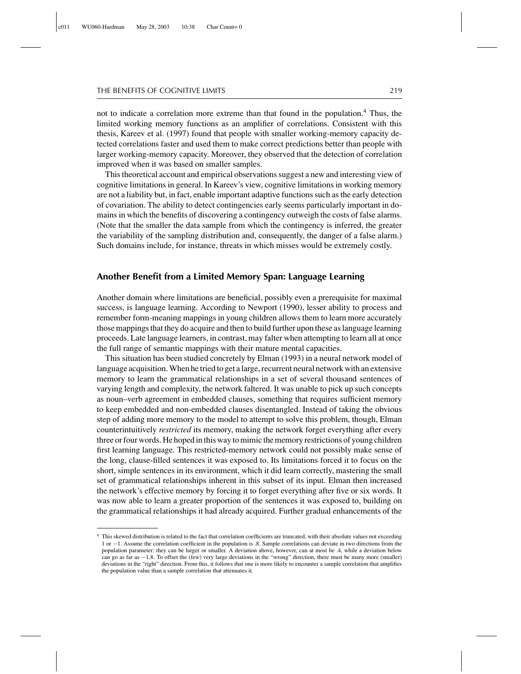c011 WU060-Hardman May 28, 2003 10:38 Char Count= 0

not to indicate a correlation more extreme than that found in the population.<sup>4</sup> Thus, the limited working memory functions as an amplifier of correlations. Consistent with this thesis, Kareev et al. (1997) found that people with smaller working-memory capacity detected correlations faster and used them to make correct predictions better than people with larger working-memory capacity. Moreover, they observed that the detection of correlation improved when it was based on smaller samples.

This theoretical account and empirical observations suggest a new and interesting view of cognitive limitations in general. In Kareev's view, cognitive limitations in working memory are not a liability but, in fact, enable important adaptive functions such as the early detection of covariation. The ability to detect contingencies early seems particularly important in domains in which the benefits of discovering a contingency outweigh the costs of false alarms. (Note that the smaller the data sample from which the contingency is inferred, the greater the variability of the sampling distribution and, consequently, the danger of a false alarm.) Such domains include, for instance, threats in which misses would be extremely costly.

# **Another Benefit from a Limited Memory Span: Language Learning**

Another domain where limitations are beneficial, possibly even a prerequisite for maximal success, is language learning. According to Newport (1990), lesser ability to process and remember form-meaning mappings in young children allows them to learn more accurately those mappings that they do acquire and then to build further upon these as language learning proceeds. Late language learners, in contrast, may falter when attempting to learn all at once the full range of semantic mappings with their mature mental capacities.

This situation has been studied concretely by Elman (1993) in a neural network model of language acquisition.When he tried to get a large, recurrent neural network with an extensive memory to learn the grammatical relationships in a set of several thousand sentences of varying length and complexity, the network faltered. It was unable to pick up such concepts as noun–verb agreement in embedded clauses, something that requires sufficient memory to keep embedded and non-embedded clauses disentangled. Instead of taking the obvious step of adding more memory to the model to attempt to solve this problem, though, Elman counterintuitively *restricted* its memory, making the network forget everything after every three or four words. He hoped in this way to mimic the memory restrictions of young children first learning language. This restricted-memory network could not possibly make sense of the long, clause-filled sentences it was exposed to. Its limitations forced it to focus on the short, simple sentences in its environment, which it did learn correctly, mastering the small set of grammatical relationships inherent in this subset of its input. Elman then increased the network's effective memory by forcing it to forget everything after five or six words. It was now able to learn a greater proportion of the sentences it was exposed to, building on the grammatical relationships it had already acquired. Further gradual enhancements of the

<sup>4</sup> This skewed distribution is related to the fact that correlation coefficients are truncated, with their absolute values not exceeding 1 or −1. Assume the correlation coefficient in the population is .8. Sample correlations can deviate in two directions from the population parameter: they can be larger or smaller. A deviation above, however, can at most be .4, while a deviation below can go as far as −1.8. To offset the (few) very large deviations in the "wrong" direction, there must be many more (smaller) deviations in the "right" direction. From this, it follows that one is more likely to encounter a sample correlation that amplifies the population value than a sample correlation that attenuates it.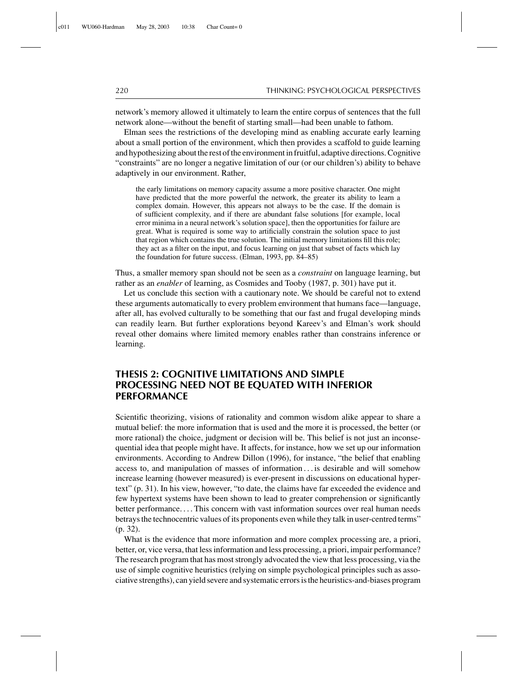#### 220 THINKING: PSYCHOLOGICAL PERSPECTIVES

network's memory allowed it ultimately to learn the entire corpus of sentences that the full network alone—without the benefit of starting small—had been unable to fathom.

Elman sees the restrictions of the developing mind as enabling accurate early learning about a small portion of the environment, which then provides a scaffold to guide learning and hypothesizing about the rest of the environment in fruitful, adaptive directions. Cognitive "constraints" are no longer a negative limitation of our (or our children's) ability to behave adaptively in our environment. Rather,

the early limitations on memory capacity assume a more positive character. One might have predicted that the more powerful the network, the greater its ability to learn a complex domain. However, this appears not always to be the case. If the domain is of sufficient complexity, and if there are abundant false solutions [for example, local error minima in a neural network's solution space], then the opportunities for failure are great. What is required is some way to artificially constrain the solution space to just that region which contains the true solution. The initial memory limitations fill this role; they act as a filter on the input, and focus learning on just that subset of facts which lay the foundation for future success. (Elman, 1993, pp. 84–85)

Thus, a smaller memory span should not be seen as a *constraint* on language learning, but rather as an *enabler* of learning, as Cosmides and Tooby (1987, p. 301) have put it.

Let us conclude this section with a cautionary note. We should be careful not to extend these arguments automatically to every problem environment that humans face—language, after all, has evolved culturally to be something that our fast and frugal developing minds can readily learn. But further explorations beyond Kareev's and Elman's work should reveal other domains where limited memory enables rather than constrains inference or learning.

# **THESIS 2: COGNITIVE LIMITATIONS AND SIMPLE PROCESSING NEED NOT BE EQUATED WITH INFERIOR PERFORMANCE**

Scientific theorizing, visions of rationality and common wisdom alike appear to share a mutual belief: the more information that is used and the more it is processed, the better (or more rational) the choice, judgment or decision will be. This belief is not just an inconsequential idea that people might have. It affects, for instance, how we set up our information environments. According to Andrew Dillon (1996), for instance, "the belief that enabling access to, and manipulation of masses of information . . . is desirable and will somehow increase learning (however measured) is ever-present in discussions on educational hypertext" (p. 31). In his view, however, "to date, the claims have far exceeded the evidence and few hypertext systems have been shown to lead to greater comprehension or significantly better performance. . . . This concern with vast information sources over real human needs betrays the technocentric values of its proponents even while they talk in user-centred terms" (p. 32).

What is the evidence that more information and more complex processing are, a priori, better, or, vice versa, that less information and less processing, a priori, impair performance? The research program that has most strongly advocated the view that less processing, via the use of simple cognitive heuristics (relying on simple psychological principles such as associative strengths), can yield severe and systematic errors is the heuristics-and-biases program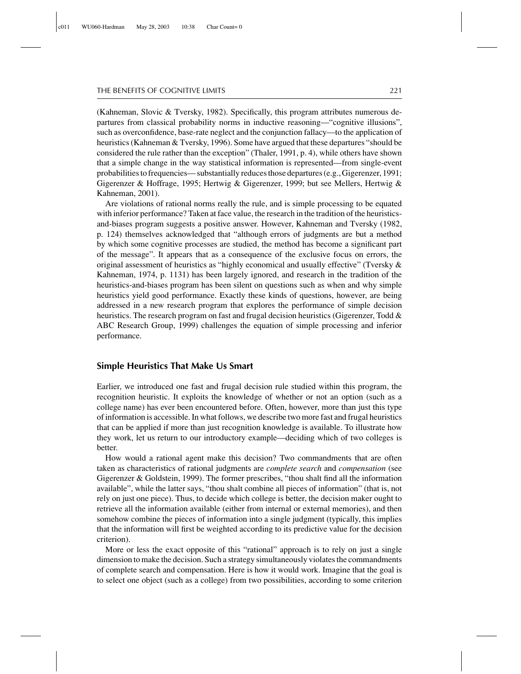(Kahneman, Slovic & Tversky, 1982). Specifically, this program attributes numerous departures from classical probability norms in inductive reasoning—"cognitive illusions", such as overconfidence, base-rate neglect and the conjunction fallacy—to the application of heuristics (Kahneman & Tversky, 1996). Some have argued that these departures "should be considered the rule rather than the exception" (Thaler, 1991, p. 4), while others have shown that a simple change in the way statistical information is represented—from single-event probabilities to frequencies—substantially reduces those departures (e.g., Gigerenzer, 1991; Gigerenzer & Hoffrage, 1995; Hertwig & Gigerenzer, 1999; but see Mellers, Hertwig & Kahneman, 2001).

Are violations of rational norms really the rule, and is simple processing to be equated with inferior performance? Taken at face value, the research in the tradition of the heuristicsand-biases program suggests a positive answer. However, Kahneman and Tversky (1982, p. 124) themselves acknowledged that "although errors of judgments are but a method by which some cognitive processes are studied, the method has become a significant part of the message". It appears that as a consequence of the exclusive focus on errors, the original assessment of heuristics as "highly economical and usually effective" (Tversky  $\&$ Kahneman, 1974, p. 1131) has been largely ignored, and research in the tradition of the heuristics-and-biases program has been silent on questions such as when and why simple heuristics yield good performance. Exactly these kinds of questions, however, are being addressed in a new research program that explores the performance of simple decision heuristics. The research program on fast and frugal decision heuristics (Gigerenzer, Todd  $\&$ ABC Research Group, 1999) challenges the equation of simple processing and inferior performance.

#### **Simple Heuristics That Make Us Smart**

Earlier, we introduced one fast and frugal decision rule studied within this program, the recognition heuristic. It exploits the knowledge of whether or not an option (such as a college name) has ever been encountered before. Often, however, more than just this type of information is accessible. In what follows, we describe two more fast and frugal heuristics that can be applied if more than just recognition knowledge is available. To illustrate how they work, let us return to our introductory example—deciding which of two colleges is better.

How would a rational agent make this decision? Two commandments that are often taken as characteristics of rational judgments are *complete search* and *compensation* (see Gigerenzer & Goldstein, 1999). The former prescribes, "thou shalt find all the information available", while the latter says, "thou shalt combine all pieces of information" (that is, not rely on just one piece). Thus, to decide which college is better, the decision maker ought to retrieve all the information available (either from internal or external memories), and then somehow combine the pieces of information into a single judgment (typically, this implies that the information will first be weighted according to its predictive value for the decision criterion).

More or less the exact opposite of this "rational" approach is to rely on just a single dimension to make the decision. Such a strategy simultaneously violates the commandments of complete search and compensation. Here is how it would work. Imagine that the goal is to select one object (such as a college) from two possibilities, according to some criterion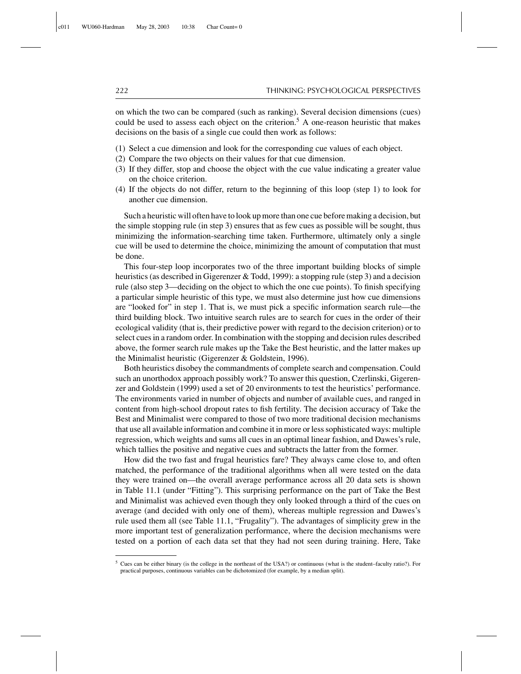on which the two can be compared (such as ranking). Several decision dimensions (cues) could be used to assess each object on the criterion.<sup>5</sup> A one-reason heuristic that makes decisions on the basis of a single cue could then work as follows:

- (1) Select a cue dimension and look for the corresponding cue values of each object.
- (2) Compare the two objects on their values for that cue dimension.
- (3) If they differ, stop and choose the object with the cue value indicating a greater value on the choice criterion.
- (4) If the objects do not differ, return to the beginning of this loop (step 1) to look for another cue dimension.

Such a heuristic will often have to look up more than one cue before making a decision, but the simple stopping rule (in step 3) ensures that as few cues as possible will be sought, thus minimizing the information-searching time taken. Furthermore, ultimately only a single cue will be used to determine the choice, minimizing the amount of computation that must be done.

This four-step loop incorporates two of the three important building blocks of simple heuristics (as described in Gigerenzer & Todd, 1999): a stopping rule (step 3) and a decision rule (also step 3—deciding on the object to which the one cue points). To finish specifying a particular simple heuristic of this type, we must also determine just how cue dimensions are "looked for" in step 1. That is, we must pick a specific information search rule—the third building block. Two intuitive search rules are to search for cues in the order of their ecological validity (that is, their predictive power with regard to the decision criterion) or to select cues in a random order. In combination with the stopping and decision rules described above, the former search rule makes up the Take the Best heuristic, and the latter makes up the Minimalist heuristic (Gigerenzer & Goldstein, 1996).

Both heuristics disobey the commandments of complete search and compensation. Could such an unorthodox approach possibly work? To answer this question, Czerlinski, Gigerenzer and Goldstein (1999) used a set of 20 environments to test the heuristics' performance. The environments varied in number of objects and number of available cues, and ranged in content from high-school dropout rates to fish fertility. The decision accuracy of Take the Best and Minimalist were compared to those of two more traditional decision mechanisms that use all available information and combine it in more or less sophisticated ways: multiple regression, which weights and sums all cues in an optimal linear fashion, and Dawes's rule, which tallies the positive and negative cues and subtracts the latter from the former.

How did the two fast and frugal heuristics fare? They always came close to, and often matched, the performance of the traditional algorithms when all were tested on the data they were trained on—the overall average performance across all 20 data sets is shown in Table 11.1 (under "Fitting"). This surprising performance on the part of Take the Best and Minimalist was achieved even though they only looked through a third of the cues on average (and decided with only one of them), whereas multiple regression and Dawes's rule used them all (see Table 11.1, "Frugality"). The advantages of simplicity grew in the more important test of generalization performance, where the decision mechanisms were tested on a portion of each data set that they had not seen during training. Here, Take

<sup>5</sup> Cues can be either binary (is the college in the northeast of the USA?) or continuous (what is the student–faculty ratio?). For practical purposes, continuous variables can be dichotomized (for example, by a median split).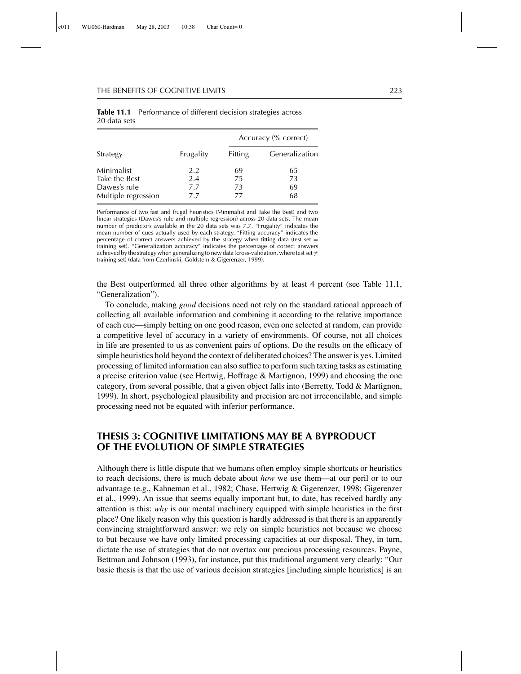|              | Table 11.1 Performance of different decision strategies across |  |  |
|--------------|----------------------------------------------------------------|--|--|
| 20 data sets |                                                                |  |  |

|                   |                 | Accuracy (% correct) |  |  |
|-------------------|-----------------|----------------------|--|--|
|                   | Fitting         | Generalization       |  |  |
| 2.2<br>2.4<br>7.7 | 69<br>75<br>73  | 65<br>73<br>69<br>68 |  |  |
|                   | Frugality<br>77 | 77                   |  |  |

Performance of two fast and frugal heuristics (Minimalist and Take the Best) and two linear strategies (Dawes's rule and multiple regression) across 20 data sets. The mean number of predictors available in the 20 data sets was 7.7. "Frugality" indicates the mean number of cues actually used by each strategy. "Fitting accuracy" indicates the percentage of correct answers achieved by the strategy when fitting data (test set  $=$ training set). "Generalization accuracy" indicates the percentage of correct answers achieved by the strategy when generalizing to new data (cross-validation, where test set  $\neq$ training set) (data from Czerlinski, Goldstein & Gigerenzer, 1999).

the Best outperformed all three other algorithms by at least 4 percent (see Table 11.1, "Generalization").

To conclude, making *good* decisions need not rely on the standard rational approach of collecting all available information and combining it according to the relative importance of each cue—simply betting on one good reason, even one selected at random, can provide a competitive level of accuracy in a variety of environments. Of course, not all choices in life are presented to us as convenient pairs of options. Do the results on the efficacy of simple heuristics hold beyond the context of deliberated choices? The answer is yes. Limited processing of limited information can also suffice to perform such taxing tasks as estimating a precise criterion value (see Hertwig, Hoffrage & Martignon, 1999) and choosing the one category, from several possible, that a given object falls into (Berretty, Todd & Martignon, 1999). In short, psychological plausibility and precision are not irreconcilable, and simple processing need not be equated with inferior performance.

# **THESIS 3: COGNITIVE LIMITATIONS MAY BE A BYPRODUCT OF THE EVOLUTION OF SIMPLE STRATEGIES**

Although there is little dispute that we humans often employ simple shortcuts or heuristics to reach decisions, there is much debate about *how* we use them—at our peril or to our advantage (e.g., Kahneman et al., 1982; Chase, Hertwig & Gigerenzer, 1998; Gigerenzer et al., 1999). An issue that seems equally important but, to date, has received hardly any attention is this: *why* is our mental machinery equipped with simple heuristics in the first place? One likely reason why this question is hardly addressed is that there is an apparently convincing straightforward answer: we rely on simple heuristics not because we choose to but because we have only limited processing capacities at our disposal. They, in turn, dictate the use of strategies that do not overtax our precious processing resources. Payne, Bettman and Johnson (1993), for instance, put this traditional argument very clearly: "Our basic thesis is that the use of various decision strategies [including simple heuristics] is an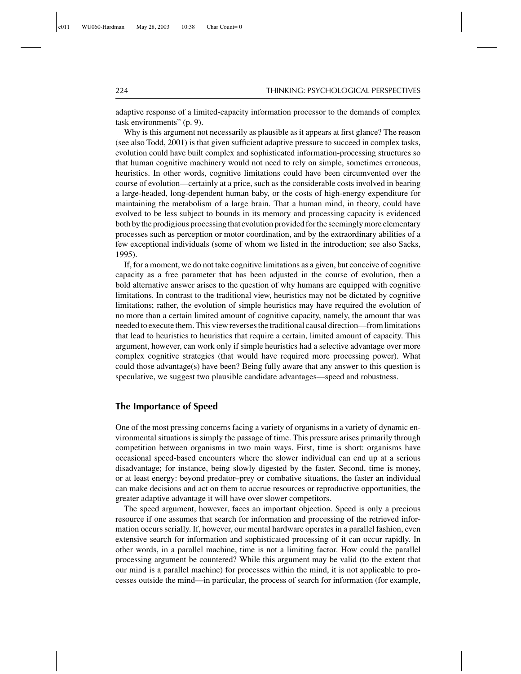adaptive response of a limited-capacity information processor to the demands of complex task environments" (p. 9).

Why is this argument not necessarily as plausible as it appears at first glance? The reason (see also Todd, 2001) is that given sufficient adaptive pressure to succeed in complex tasks, evolution could have built complex and sophisticated information-processing structures so that human cognitive machinery would not need to rely on simple, sometimes erroneous, heuristics. In other words, cognitive limitations could have been circumvented over the course of evolution—certainly at a price, such as the considerable costs involved in bearing a large-headed, long-dependent human baby, or the costs of high-energy expenditure for maintaining the metabolism of a large brain. That a human mind, in theory, could have evolved to be less subject to bounds in its memory and processing capacity is evidenced both by the prodigious processing that evolution provided for the seemingly more elementary processes such as perception or motor coordination, and by the extraordinary abilities of a few exceptional individuals (some of whom we listed in the introduction; see also Sacks, 1995).

If, for a moment, we do not take cognitive limitations as a given, but conceive of cognitive capacity as a free parameter that has been adjusted in the course of evolution, then a bold alternative answer arises to the question of why humans are equipped with cognitive limitations. In contrast to the traditional view, heuristics may not be dictated by cognitive limitations; rather, the evolution of simple heuristics may have required the evolution of no more than a certain limited amount of cognitive capacity, namely, the amount that was needed to execute them. This view reverses the traditional causal direction—from limitations that lead to heuristics to heuristics that require a certain, limited amount of capacity. This argument, however, can work only if simple heuristics had a selective advantage over more complex cognitive strategies (that would have required more processing power). What could those advantage(s) have been? Being fully aware that any answer to this question is speculative, we suggest two plausible candidate advantages—speed and robustness.

# **The Importance of Speed**

One of the most pressing concerns facing a variety of organisms in a variety of dynamic environmental situations is simply the passage of time. This pressure arises primarily through competition between organisms in two main ways. First, time is short: organisms have occasional speed-based encounters where the slower individual can end up at a serious disadvantage; for instance, being slowly digested by the faster. Second, time is money, or at least energy: beyond predator–prey or combative situations, the faster an individual can make decisions and act on them to accrue resources or reproductive opportunities, the greater adaptive advantage it will have over slower competitors.

The speed argument, however, faces an important objection. Speed is only a precious resource if one assumes that search for information and processing of the retrieved information occurs serially. If, however, our mental hardware operates in a parallel fashion, even extensive search for information and sophisticated processing of it can occur rapidly. In other words, in a parallel machine, time is not a limiting factor. How could the parallel processing argument be countered? While this argument may be valid (to the extent that our mind is a parallel machine) for processes within the mind, it is not applicable to processes outside the mind—in particular, the process of search for information (for example,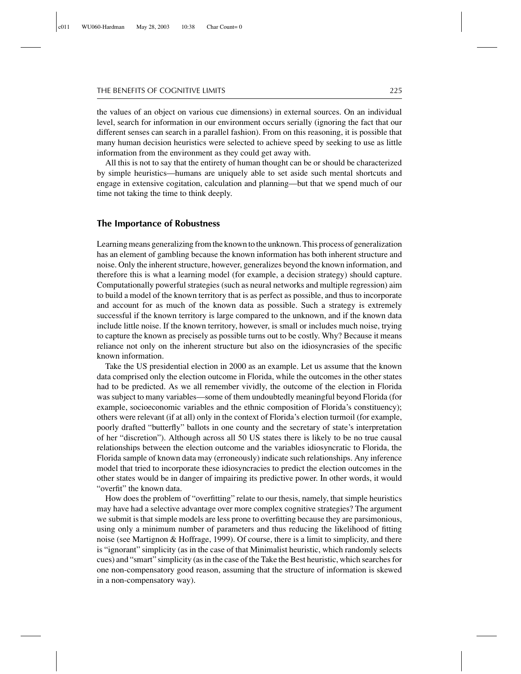the values of an object on various cue dimensions) in external sources. On an individual level, search for information in our environment occurs serially (ignoring the fact that our different senses can search in a parallel fashion). From on this reasoning, it is possible that many human decision heuristics were selected to achieve speed by seeking to use as little information from the environment as they could get away with.

All this is not to say that the entirety of human thought can be or should be characterized by simple heuristics—humans are uniquely able to set aside such mental shortcuts and engage in extensive cogitation, calculation and planning—but that we spend much of our time not taking the time to think deeply.

### **The Importance of Robustness**

Learning means generalizing from the known to the unknown. This process of generalization has an element of gambling because the known information has both inherent structure and noise. Only the inherent structure, however, generalizes beyond the known information, and therefore this is what a learning model (for example, a decision strategy) should capture. Computationally powerful strategies (such as neural networks and multiple regression) aim to build a model of the known territory that is as perfect as possible, and thus to incorporate and account for as much of the known data as possible. Such a strategy is extremely successful if the known territory is large compared to the unknown, and if the known data include little noise. If the known territory, however, is small or includes much noise, trying to capture the known as precisely as possible turns out to be costly. Why? Because it means reliance not only on the inherent structure but also on the idiosyncrasies of the specific known information.

Take the US presidential election in 2000 as an example. Let us assume that the known data comprised only the election outcome in Florida, while the outcomes in the other states had to be predicted. As we all remember vividly, the outcome of the election in Florida was subject to many variables—some of them undoubtedly meaningful beyond Florida (for example, socioeconomic variables and the ethnic composition of Florida's constituency); others were relevant (if at all) only in the context of Florida's election turmoil (for example, poorly drafted "butterfly" ballots in one county and the secretary of state's interpretation of her "discretion"). Although across all 50 US states there is likely to be no true causal relationships between the election outcome and the variables idiosyncratic to Florida, the Florida sample of known data may (erroneously) indicate such relationships. Any inference model that tried to incorporate these idiosyncracies to predict the election outcomes in the other states would be in danger of impairing its predictive power. In other words, it would "overfit" the known data.

How does the problem of "overfitting" relate to our thesis, namely, that simple heuristics may have had a selective advantage over more complex cognitive strategies? The argument we submit is that simple models are less prone to overfitting because they are parsimonious, using only a minimum number of parameters and thus reducing the likelihood of fitting noise (see Martignon & Hoffrage, 1999). Of course, there is a limit to simplicity, and there is "ignorant" simplicity (as in the case of that Minimalist heuristic, which randomly selects cues) and "smart" simplicity (as in the case of the Take the Best heuristic, which searches for one non-compensatory good reason, assuming that the structure of information is skewed in a non-compensatory way).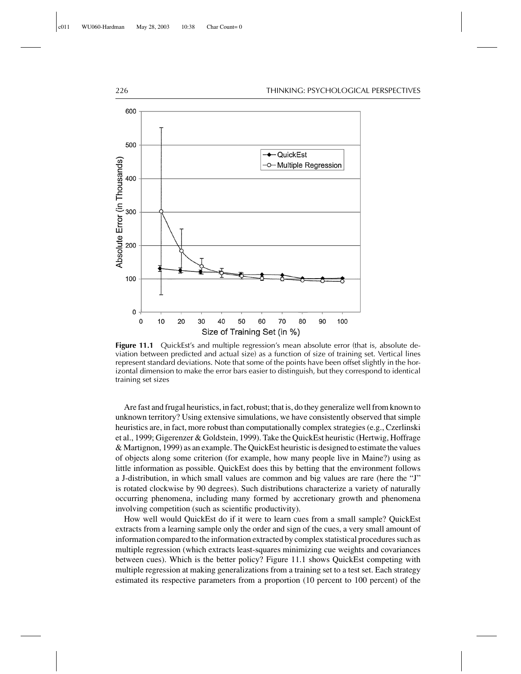

**Figure 11.1** QuickEst's and multiple regression's mean absolute error (that is, absolute deviation between predicted and actual size) as a function of size of training set. Vertical lines represent standard deviations. Note that some of the points have been offset slightly in the horizontal dimension to make the error bars easier to distinguish, but they correspond to identical training set sizes

Are fast and frugal heuristics, in fact, robust; that is, do they generalize well from known to unknown territory? Using extensive simulations, we have consistently observed that simple heuristics are, in fact, more robust than computationally complex strategies (e.g., Czerlinski et al., 1999; Gigerenzer & Goldstein, 1999). Take the QuickEst heuristic (Hertwig, Hoffrage & Martignon, 1999) as an example. The QuickEst heuristic is designed to estimate the values of objects along some criterion (for example, how many people live in Maine?) using as little information as possible. QuickEst does this by betting that the environment follows a J-distribution, in which small values are common and big values are rare (here the "J" is rotated clockwise by 90 degrees). Such distributions characterize a variety of naturally occurring phenomena, including many formed by accretionary growth and phenomena involving competition (such as scientific productivity).

How well would QuickEst do if it were to learn cues from a small sample? QuickEst extracts from a learning sample only the order and sign of the cues, a very small amount of information compared to the information extracted by complex statistical procedures such as multiple regression (which extracts least-squares minimizing cue weights and covariances between cues). Which is the better policy? Figure 11.1 shows QuickEst competing with multiple regression at making generalizations from a training set to a test set. Each strategy estimated its respective parameters from a proportion (10 percent to 100 percent) of the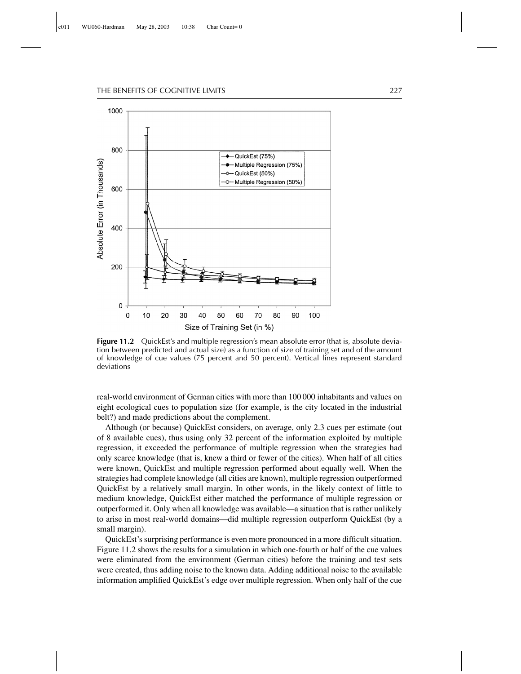

**Figure 11.2** QuickEst's and multiple regression's mean absolute error (that is, absolute deviation between predicted and actual size) as a function of size of training set and of the amount of knowledge of cue values (75 percent and 50 percent). Vertical lines represent standard deviations

real-world environment of German cities with more than 100 000 inhabitants and values on eight ecological cues to population size (for example, is the city located in the industrial belt?) and made predictions about the complement.

Although (or because) QuickEst considers, on average, only 2.3 cues per estimate (out of 8 available cues), thus using only 32 percent of the information exploited by multiple regression, it exceeded the performance of multiple regression when the strategies had only scarce knowledge (that is, knew a third or fewer of the cities). When half of all cities were known, QuickEst and multiple regression performed about equally well. When the strategies had complete knowledge (all cities are known), multiple regression outperformed QuickEst by a relatively small margin. In other words, in the likely context of little to medium knowledge, QuickEst either matched the performance of multiple regression or outperformed it. Only when all knowledge was available—a situation that is rather unlikely to arise in most real-world domains—did multiple regression outperform QuickEst (by a small margin).

QuickEst's surprising performance is even more pronounced in a more difficult situation. Figure 11.2 shows the results for a simulation in which one-fourth or half of the cue values were eliminated from the environment (German cities) before the training and test sets were created, thus adding noise to the known data. Adding additional noise to the available information amplified QuickEst's edge over multiple regression. When only half of the cue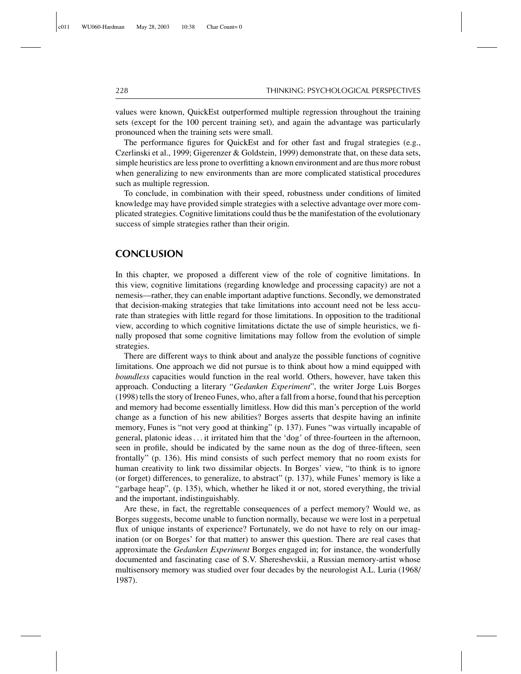values were known, QuickEst outperformed multiple regression throughout the training sets (except for the 100 percent training set), and again the advantage was particularly pronounced when the training sets were small.

The performance figures for QuickEst and for other fast and frugal strategies (e.g., Czerlinski et al., 1999; Gigerenzer & Goldstein, 1999) demonstrate that, on these data sets, simple heuristics are less prone to overfitting a known environment and are thus more robust when generalizing to new environments than are more complicated statistical procedures such as multiple regression.

To conclude, in combination with their speed, robustness under conditions of limited knowledge may have provided simple strategies with a selective advantage over more complicated strategies. Cognitive limitations could thus be the manifestation of the evolutionary success of simple strategies rather than their origin.

# **CONCLUSION**

In this chapter, we proposed a different view of the role of cognitive limitations. In this view, cognitive limitations (regarding knowledge and processing capacity) are not a nemesis—rather, they can enable important adaptive functions. Secondly, we demonstrated that decision-making strategies that take limitations into account need not be less accurate than strategies with little regard for those limitations. In opposition to the traditional view, according to which cognitive limitations dictate the use of simple heuristics, we finally proposed that some cognitive limitations may follow from the evolution of simple strategies.

There are different ways to think about and analyze the possible functions of cognitive limitations. One approach we did not pursue is to think about how a mind equipped with *boundless* capacities would function in the real world. Others, however, have taken this approach. Conducting a literary "*Gedanken Experiment*", the writer Jorge Luis Borges (1998) tells the story of Ireneo Funes, who, after a fall from a horse, found that his perception and memory had become essentially limitless. How did this man's perception of the world change as a function of his new abilities? Borges asserts that despite having an infinite memory, Funes is "not very good at thinking" (p. 137). Funes "was virtually incapable of general, platonic ideas . . . it irritated him that the 'dog' of three-fourteen in the afternoon, seen in profile, should be indicated by the same noun as the dog of three-fifteen, seen frontally" (p. 136). His mind consists of such perfect memory that no room exists for human creativity to link two dissimilar objects. In Borges' view, "to think is to ignore (or forget) differences, to generalize, to abstract" (p. 137), while Funes' memory is like a "garbage heap", (p. 135), which, whether he liked it or not, stored everything, the trivial and the important, indistinguishably.

Are these, in fact, the regrettable consequences of a perfect memory? Would we, as Borges suggests, become unable to function normally, because we were lost in a perpetual flux of unique instants of experience? Fortunately, we do not have to rely on our imagination (or on Borges' for that matter) to answer this question. There are real cases that approximate the *Gedanken Experiment* Borges engaged in; for instance, the wonderfully documented and fascinating case of S.V. Shereshevskii, a Russian memory-artist whose multisensory memory was studied over four decades by the neurologist A.L. Luria (1968/ 1987).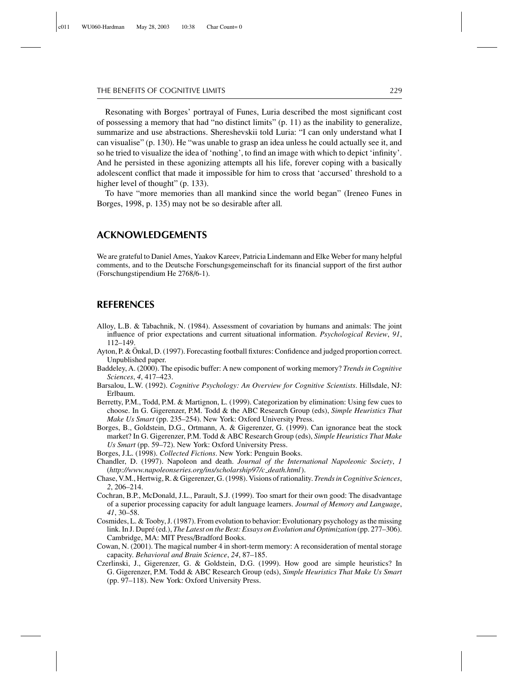Resonating with Borges' portrayal of Funes, Luria described the most significant cost of possessing a memory that had "no distinct limits" (p. 11) as the inability to generalize, summarize and use abstractions. Shereshevskii told Luria: "I can only understand what I can visualise" (p. 130). He "was unable to grasp an idea unless he could actually see it, and so he tried to visualize the idea of 'nothing', to find an image with which to depict 'infinity'. And he persisted in these agonizing attempts all his life, forever coping with a basically adolescent conflict that made it impossible for him to cross that 'accursed' threshold to a higher level of thought" (p. 133).

To have "more memories than all mankind since the world began" (Ireneo Funes in Borges, 1998, p. 135) may not be so desirable after all*.*

# **ACKNOWLEDGEMENTS**

We are grateful to Daniel Ames, Yaakov Kareev, Patricia Lindemann and Elke Weber for many helpful comments, and to the Deutsche Forschungsgemeinschaft for its financial support of the first author (Forschungstipendium He 2768/6-1).

# **REFERENCES**

- Alloy, L.B. & Tabachnik, N. (1984). Assessment of covariation by humans and animals: The joint influence of prior expectations and current situational information. *Psychological Review*, *91*, 112–149.
- Ayton, P. & Önkal, D. (1997). Forecasting football fixtures: Confidence and judged proportion correct. Unpublished paper.
- Baddeley, A. (2000). The episodic buffer: A new component of working memory? *Trends in Cognitive Sciences*, *4*, 417–423.
- Barsalou, L.W. (1992). *Cognitive Psychology: An Overview for Cognitive Scientists*. Hillsdale, NJ: Erlbaum.
- Berretty, P.M., Todd, P.M. & Martignon, L. (1999). Categorization by elimination: Using few cues to choose. In G. Gigerenzer, P.M. Todd & the ABC Research Group (eds), *Simple Heuristics That Make Us Smart* (pp. 235–254). New York: Oxford University Press.
- Borges, B., Goldstein, D.G., Ortmann, A. & Gigerenzer, G. (1999). Can ignorance beat the stock market? In G. Gigerenzer, P.M. Todd & ABC Research Group (eds), *Simple Heuristics That Make Us Smart* (pp. 59–72). New York: Oxford University Press.

Borges, J.L. (1998). *Collected Fictions*. New York: Penguin Books.

- Chandler, D. (1997). Napoleon and death. *Journal of the International Napoleonic Society*, *1* (*http://www.napoleonseries.org/ins/scholarship97/c death.html*).
- Chase, V.M., Hertwig, R. & Gigerenzer, G. (1998). Visions of rationality. *Trends in Cognitive Sciences*, *2*, 206–214.
- Cochran, B.P., McDonald, J.L., Parault, S.J. (1999). Too smart for their own good: The disadvantage of a superior processing capacity for adult language learners. *Journal of Memory and Language*, *41*, 30–58.
- Cosmides, L. & Tooby, J. (1987). From evolution to behavior: Evolutionary psychology as the missing link. In J. Dupré (ed.), *The Latest on the Best: Essays on Evolution and Optimization* (pp. 277–306). Cambridge, MA: MIT Press/Bradford Books.
- Cowan, N. (2001). The magical number 4 in short-term memory: A reconsideration of mental storage capacity. *Behavioral and Brain Science*, *24*, 87–185.
- Czerlinski, J., Gigerenzer, G. & Goldstein, D.G. (1999). How good are simple heuristics? In G. Gigerenzer, P.M. Todd & ABC Research Group (eds), *Simple Heuristics That Make Us Smart* (pp. 97–118). New York: Oxford University Press.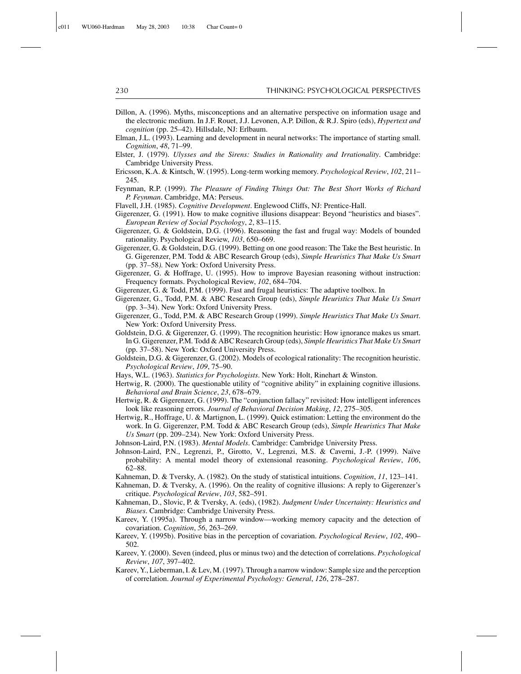- Dillon, A. (1996). Myths, misconceptions and an alternative perspective on information usage and the electronic medium. In J.F. Rouet, J.J. Levonen, A.P. Dillon, & R.J. Spiro (eds), *Hypertext and cognition* (pp. 25–42). Hillsdale, NJ: Erlbaum.
- Elman, J.L. (1993). Learning and development in neural networks: The importance of starting small. *Cognition*, *48*, 71–99.
- Elster, J. (1979). *Ulysses and the Sirens: Studies in Rationality and Irrationality*. Cambridge: Cambridge University Press.
- Ericsson, K.A. & Kintsch, W. (1995). Long-term working memory. *Psychological Review*, *102*, 211– 245.
- Feynman, R.P. (1999). *The Pleasure of Finding Things Out: The Best Short Works of Richard P. Feynman*. Cambridge, MA: Perseus.

Flavell, J.H. (1985). *Cognitive Development*. Englewood Cliffs, NJ: Prentice-Hall.

- Gigerenzer, G. (1991). How to make cognitive illusions disappear: Beyond "heuristics and biases". *European Review of Social Psychology*, *2*, 83–115.
- Gigerenzer, G. & Goldstein, D.G. (1996). Reasoning the fast and frugal way: Models of bounded rationality. Psychological Review, *103*, 650–669.
- Gigerenzer, G. & Goldstein, D.G. (1999). Betting on one good reason: The Take the Best heuristic. In G. Gigerenzer, P.M. Todd & ABC Research Group (eds), *Simple Heuristics That Make Us Smart* (pp. 37–58*).* New York: Oxford University Press.
- Gigerenzer, G. & Hoffrage, U. (1995). How to improve Bayesian reasoning without instruction: Frequency formats. Psychological Review, *102*, 684–704.
- Gigerenzer, G. & Todd, P.M. (1999). Fast and frugal heuristics: The adaptive toolbox. In
- Gigerenzer, G., Todd, P.M. & ABC Research Group (eds), *Simple Heuristics That Make Us Smart* (pp. 3–34). New York: Oxford University Press.
- Gigerenzer, G., Todd, P.M. & ABC Research Group (1999). *Simple Heuristics That Make Us Smart*. New York: Oxford University Press.
- Goldstein, D.G. & Gigerenzer, G. (1999). The recognition heuristic: How ignorance makes us smart. In G. Gigerenzer, P.M. Todd & ABC Research Group (eds), *Simple Heuristics That Make Us Smart* (pp. 37–58). New York: Oxford University Press.
- Goldstein, D.G. & Gigerenzer, G. (2002). Models of ecological rationality: The recognition heuristic. *Psychological Review*, *109*, 75–90.
- Hays, W.L. (1963). *Statistics for Psychologists*. New York: Holt, Rinehart & Winston.
- Hertwig, R. (2000). The questionable utility of "cognitive ability" in explaining cognitive illusions. *Behavioral and Brain Science*, *23*, 678–679.
- Hertwig, R. & Gigerenzer, G. (1999). The "conjunction fallacy" revisited: How intelligent inferences look like reasoning errors. *Journal of Behavioral Decision Making*, *12*, 275–305.
- Hertwig, R., Hoffrage, U. & Martignon, L. (1999). Quick estimation: Letting the environment do the work. In G. Gigerenzer, P.M. Todd & ABC Research Group (eds), *Simple Heuristics That Make Us Smart* (pp. 209–234). New York: Oxford University Press.
- Johnson-Laird, P.N. (1983). *Mental Models*. Cambridge: Cambridge University Press.
- Johnson-Laird, P.N., Legrenzi, P., Girotto, V., Legrenzi, M.S. & Caverni, J.-P. (1999). Na¨ıve probability: A mental model theory of extensional reasoning. *Psychological Review*, *106*, 62–88.
- Kahneman, D. & Tversky, A. (1982). On the study of statistical intuitions. *Cognition*, *11*, 123–141.
- Kahneman, D. & Tversky, A. (1996). On the reality of cognitive illusions: A reply to Gigerenzer's
	- critique. *Psychological Review*, *103*, 582–591.
- Kahneman, D., Slovic, P. & Tversky, A. (eds), (1982). *Judgment Under Uncertainty: Heuristics and Biases*. Cambridge: Cambridge University Press.
- Kareev, Y. (1995a). Through a narrow window—working memory capacity and the detection of covariation. *Cognition*, *56*, 263–269.
- Kareev, Y. (1995b). Positive bias in the perception of covariation. *Psychological Review*, *102*, 490– 502.
- Kareev, Y. (2000). Seven (indeed, plus or minus two) and the detection of correlations. *Psychological Review*, *107*, 397–402.
- Kareev, Y., Lieberman, I. & Lev, M. (1997). Through a narrow window: Sample size and the perception of correlation. *Journal of Experimental Psychology: General*, *126*, 278–287.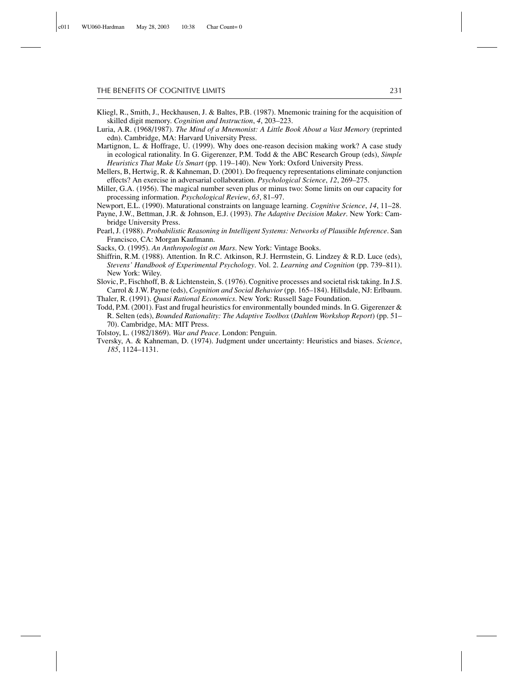- Kliegl, R., Smith, J., Heckhausen, J. & Baltes, P.B. (1987). Mnemonic training for the acquisition of skilled digit memory. *Cognition and Instruction*, *4*, 203–223.
- Luria, A.R. (1968/1987). *The Mind of a Mnemonist: A Little Book About a Vast Memory* (reprinted edn). Cambridge, MA: Harvard University Press.
- Martignon, L. & Hoffrage, U. (1999). Why does one-reason decision making work? A case study in ecological rationality. In G. Gigerenzer, P.M. Todd & the ABC Research Group (eds), *Simple Heuristics That Make Us Smart* (pp. 119–140). New York: Oxford University Press.
- Mellers, B, Hertwig, R. & Kahneman, D. (2001). Do frequency representations eliminate conjunction effects? An exercise in adversarial collaboration. *Psychological Science*, *12*, 269–275.
- Miller, G.A. (1956). The magical number seven plus or minus two: Some limits on our capacity for processing information. *Psychological Review*, *63*, 81–97.
- Newport, E.L. (1990). Maturational constraints on language learning. *Cognitive Science*, *14*, 11–28.
- Payne, J.W., Bettman, J.R. & Johnson, E.J. (1993). *The Adaptive Decision Maker*. New York: Cambridge University Press.
- Pearl, J. (1988). *Probabilistic Reasoning in Intelligent Systems: Networks of Plausible Inference*. San Francisco, CA: Morgan Kaufmann.
- Sacks, O. (1995). *An Anthropologist on Mars*. New York: Vintage Books.
- Shiffrin, R.M. (1988). Attention. In R.C. Atkinson, R.J. Herrnstein, G. Lindzey & R.D. Luce (eds), *Stevens' Handbook of Experimental Psychology*. Vol. 2. *Learning and Cognition* (pp. 739–811). New York: Wiley.
- Slovic, P., Fischhoff, B. & Lichtenstein, S. (1976). Cognitive processes and societal risk taking. In J.S. Carrol & J.W. Payne (eds), *Cognition and Social Behavior* (pp. 165–184). Hillsdale, NJ: Erlbaum. Thaler, R. (1991). *Quasi Rational Economics*. New York: Russell Sage Foundation.
- Todd, P.M. (2001). Fast and frugal heuristics for environmentally bounded minds. In G. Gigerenzer & R. Selten (eds), *Bounded Rationality: The Adaptive Toolbox* (*Dahlem Workshop Report*) (pp. 51– 70). Cambridge, MA: MIT Press.
- Tolstoy, L. (1982/1869). *War and Peace*. London: Penguin.
- Tversky, A. & Kahneman, D. (1974). Judgment under uncertainty: Heuristics and biases. *Science*, *185*, 1124–1131.